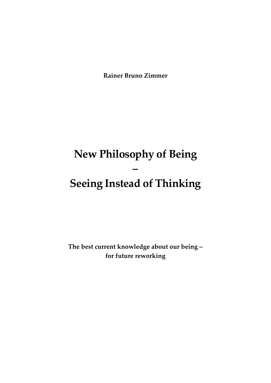**Rainer Bruno Zimmer**

# **New Philosophy of Being – Seeing Instead of Thinking**

**The best current knowledge about our being – for future reworking**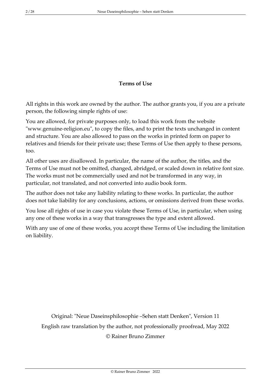## **Terms of Use**

All rights in this work are owned by the author. The author grants you, if you are a private person, the following simple rights of use:

You are allowed, for private purposes only, to load this work from the website "www.genuine-religion.eu", to copy the files, and to print the texts unchanged in content and structure. You are also allowed to pass on the works in printed form on paper to relatives and friends for their private use; these Terms of Use then apply to these persons, too.

All other uses are disallowed. In particular, the name of the author, the titles, and the Terms of Use must not be omitted, changed, abridged, or scaled down in relative font size. The works must not be commercially used and not be transformed in any way, in particular, not translated, and not converted into audio book form.

The author does not take any liability relating to these works. In particular, the author does not take liability for any conclusions, actions, or omissions derived from these works.

You lose all rights of use in case you violate these Terms of Use, in particular, when using any one of these works in a way that transgresses the type and extent allowed.

With any use of one of these works, you accept these Terms of Use including the limitation on liability.

Original: "Neue Daseinsphilosophie –Sehen statt Denken", Version 11 English raw translation by the author, not professionally proofread, May 2022 © Rainer Bruno Zimmer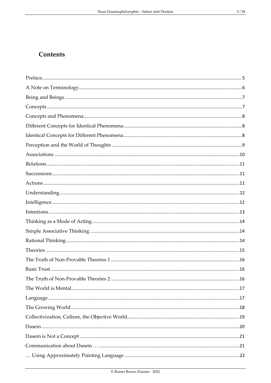## Contents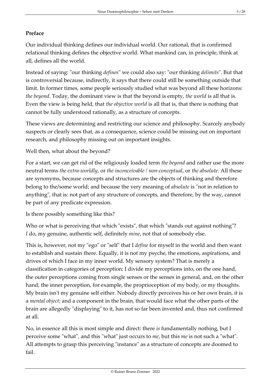## <span id="page-4-0"></span>**Preface**

Our individual thinking defines our individual world. Our rational, that is confirmed relational thinking defines the objective world. What mankind can, in principle, think at all, defines all the world.

Instead of saying: "our thinking *defines*" we could also say: "our thinking *delimits*". But that is controversial because, indirectly, it says that there could still be something outside that limit. In former times, some people seriously studied what was beyond all these horizons: *the beyond*. Today, the dominant view is that the beyond is empty, *the world* is all that is. Even the view is being held, that *the objective world* is all that is, that there is nothing that cannot be fully understood rationally, as a structure of concepts.

These views are determining and restricting our science and philosophy. Scarcely anybody suspects or clearly sees that, as a consequence, science could be missing out on important research, and philosophy missing out on important insights.

Well then, what about the beyond?

For a start, we can get rid of the religiously loaded term *the beyond* and rather use the more neutral terms *the extra-worldly*, or *the inconceivable / non-conceptual*, or *the absolute*. All these are synonyms, because concepts and structures are the objects of thinking and therefore belong to the/some world; and because the very meaning of *absolute* is "not in relation to anything", that is: not part of any structure of concepts, and therefore, by the way, cannot be part of any predicate expression.

Is there possibly something like this?

Who or what is perceiving that which "exists", that which "stands out against nothing"? *I* do, my genuine, authentic self, definitely *mine*, not that of somebody else.

This is, however, not my "ego" or "self" that I *define* for myself in the world and then want to establish and sustain there. Equally, it is not my psyche, the emotions, aspirations, and drives of which I face in my inner world. My sensory system? That is merely a classification in categories of perception: I divide my perceptions into, on the one hand, the outer perceptions coming from single senses or the senses in general, and, on the other hand, the inner perception, for example, the proprioception of my body, or my thoughts. My brain isn't my genuine self either. Nobody directly perceives his or her own brain, it is a *mental object*; and a component in the brain, that would face what the other parts of the brain are allegedly "displaying" to it, has not so far been invented and, thus not confirmed at all.

No, in essence all this is most simple and direct: there *is* fundamentally nothing, but I perceive some "what", and this "what" just occurs to *me*, but this *me* is not such a "what". All attempts to grasp this perceiving "instance" as a structure of concepts are doomed to fail.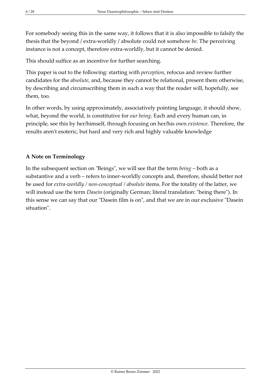For somebody seeing this in the same way, it follows that it is also impossible to falsify the thesis that the beyond / extra-worldly / absolute could not somehow *be*. The perceiving instance is not a concept, therefore extra-worldly, but it cannot be denied.

This should suffice as an incentive for further searching.

This paper is out to the following: starting with *perception*, refocus and review further candidates for the *absolute*, and, because they cannot be relational, present them otherwise, by describing and circumscribing them in such a way that the reader will, hopefully, see them, too.

In other words, by using approximately, associatively pointing language, it should show, what, beyond the world, is constitutive for *our being*. Each and every human can, in principle, see this by her/himself, through focusing on her/his own *existence*. Therefore, the results aren't esoteric, but hard and very rich and highly valuable knowledge

## <span id="page-5-0"></span>**A Note on Terminology**

In the subsequent section on "Beings", we will see that the term *being* – both as a substantive and a verb – refers to inner-worldly concepts and, therefore, should better not be used for *extra-worldly / non-conceptual / absolute* items. For the totality of the latter, we will instead use the term *Dasein* (originally German; literal translation: "being there"). In this sense we can say that our "Dasein film is on", and that we are in our exclusive "Dasein situation".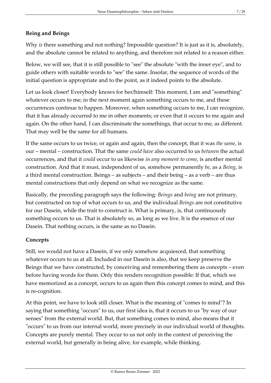## <span id="page-6-0"></span>**Being and Beings**

Why *is* there something and not nothing? Impossible question? It is just as it is, absolutely, and the absolute cannot be related to anything, and therefore not related to a reason either.

Below, we will see, that it is still possible to "see" the absolute "with the inner eye", and to guide others with suitable words to "see" the same. Insofar, the sequence of words of the initial question is appropriate and to the point, as it indeed points to the absolute.

Let us look closer! Everybody knows for her/himself: This moment, I am and "something" whatever occurs to me; in the next moment again something occurs to me, and these occurrences continue to happen. Moreover, when something occurs to me, I can recognize, that it has already occurred to me in other moments; or even that it occurs to me again and again. On the other hand, I can discriminate the somethings, that occur to me, as different. That may well be the same for all humans.

If the same occurs to us twice, or again and again, then the concept, that it was *the same*, is our – mental – construction. That the same *could have* also occurred to us *between* the actual occurrences, and that it *could* occur to us likewise *in any moment to come*, is another mental construction. And that it must, independent of us, somehow permanently *be*, as a *Being*, is a third mental construction. Beings – as subjects – and their being – as a verb – are thus mental constructions that only depend on what we recognize as the same.

Basically, the preceding paragraph says the following: *Beings* and *being* are not primary, but constructed on top of what occurs to us, and the individual *Beings* are not constitutive for our Dasein, while the trait to construct is. What is primary, is, that continuously something occurs to us. That is absolutely so, as long as we live. It is the essence of our Dasein. That nothing occurs, is the same as no Dasein.

#### <span id="page-6-1"></span>**Concepts**

Still, we would not have a Dasein, if we only somehow acquiesced, that something whatever occurs to us at all. Included in our Dasein is also, that we keep preserve the Beings that we have constructed, by conceiving and remembering them as concepts – even before having words for them. Only this renders recognition possible: If that, which we have memorized as a concept, occurs to us again then this concept comes to mind, and this is re-cognition.

At this point, we have to look still closer. What is the meaning of "comes to mind"? In saying that something "occurs" to us, our first idea is, that it occurs to us "by way of our senses" from the external world. But, that something comes to mind, also means that it "occurs" to us from our internal world, more precisely in our individual world of thoughts. Concepts are purely mental. They occur to us not only in the context of perceiving the external world, but generally in being alive, for example, while thinking.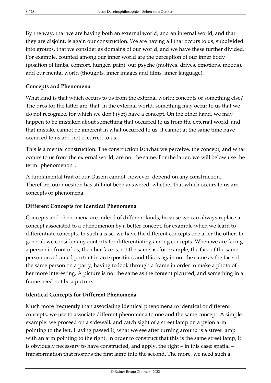By the way, that we are having both an external world, and an internal world, and that they are disjoint, is again our construction. We are having all that occurs to us, subdivided into groups, that we consider as domains of our world, and we have these further divided. For example, counted among our inner world are the perception of our inner body (position of limbs, comfort, hunger, pain), our psyche (motives, drives, emotions, moods), and our mental world (thoughts, inner images and films, inner language).

### <span id="page-7-0"></span>**Concepts and Phenomena**

What kind is that which occurs to us from the external world: concepts or something else? The pros for the latter are, that, in the external world, something may occur to us that we do not recognize, for which we don't (yet) have a concept. On the other hand, we may happen to be mistaken about something that occurred to us from the external world, and that mistake cannot be inherent in what occurred to us: it cannot at the same time have occurred to us and not occurred to us.

This is a mental construction. The construction is: what we perceive, the concept, and what occurs to us from the external world, are not the same. For the latter, we will below use the term "phenomenon".

A fundamental trait of our Dasein cannot, however, depend on any construction. Therefore, our question has still not been answered, whether that which occurs to us are concepts or phenomena.

## <span id="page-7-1"></span>**Different Concepts for Identical Phenomena**

Concepts and phenomena are indeed of different kinds, because we can always replace a concept associated to a phenomenon by a better concept, for example when we learn to differentiate concepts. In such a case, we have the different concepts one after the other. In general, we consider any contexts for differentiating among concepts. When we are facing a person in front of us, then her face is not the same as, for example, the face of the same person on a framed portrait in an exposition, and this is again not the same as the face of the same person on a party, having to look through a frame in order to make a photo of her more interesting. A picture is not the same as the content pictured, and something in a frame need not be a picture.

## <span id="page-7-2"></span>**Identical Concepts for Different Phenomena**

Much more frequently than associating identical phenomena to identical or different concepts, we use to associate different phenomena to one and the same concept. A simple example: we proceed on a sidewalk and catch sight of a street lamp on a pylon arm pointing to the left. Having passed it, what we see after turning around is a street lamp with an arm pointing to the right. In order to construct that this is the same street lamp, it is obviously necessary to have constructed, and apply, the right – in this case: spatial – transformation that morphs the first lamp into the second. The more, we need such a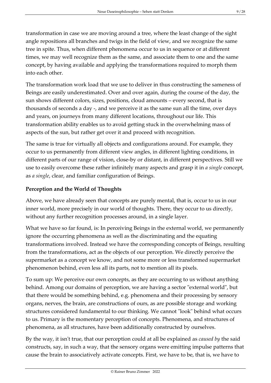transformation in case we are moving around a tree, where the least change of the sight angle repositions all branches and twigs in the field of view, and we recognize the same tree in spite. Thus, when different phenomena occur to us in sequence or at different times, we may well recognize them as the same, and associate them to one and the same concept, by having available and applying the transformations required to morph them into each other.

The transformation work load that we use to deliver in thus constructing the sameness of Beings are easily underestimated. Over and over again, during the course of the day, the sun shows different colors, sizes, positions, cloud amounts – every second, that is thousands of seconds a day -, and we perceive it as the same sun all the time, over days and years, on journeys from many different locations, throughout our life. This transformation ability enables us to avoid getting stuck in the overwhelming mass of aspects of the sun, but rather get over it and proceed with recognition.

The same is true for virtually all objects and configurations around. For example, they occur to us permanently from different view angles, in different lighting conditions, in different parts of our range of vision, close-by or distant, in different perspectives. Still we use to easily overcome these rather infinitely many aspects and grasp it in *a single* concept, as *a single*, clear, and familiar configuration of Beings.

## <span id="page-8-0"></span>**Perception and the World of Thoughts**

Above, we have already seen that concepts are purely mental, that is, occur to us in our inner world, more precisely in our world of thoughts. There, they occur to us directly, without any further recognition processes around, in a single layer.

What we have so far found, is: In perceiving Beings in the external world, we permanently ignore the occurring phenomena as well as the discriminating and the equating transformations involved. Instead we have the corresponding concepts of Beings, resulting from the transformations, act as the objects of our perception. We directly perceive the supermarket as a concept we know, and not some more or less transformed supermarket phenomenon behind, even less all its parts, not to mention all its pixels.

To sum up: We perceive our own concepts, as they are occurring to us without anything behind. Among our domains of perception, we are having a sector "external world", but that there would be something behind, e.g. phenomena and their processing by sensory organs, nerves, the brain, are constructions of ours, as are possible storage and working structures considered fundamental to our thinking. We cannot "look" behind what occurs to us. Primary is the momentary perception of concepts. Phenomena, and structures of phenomena, as all structures, have been additionally constructed by ourselves.

By the way, it isn't true, that our perception could at all be explained as *caused by* the said constructs, say, in such a way, that the sensory organs were emitting impulse patterns that cause the brain to associatively activate concepts. First, we have to be, that is, we have to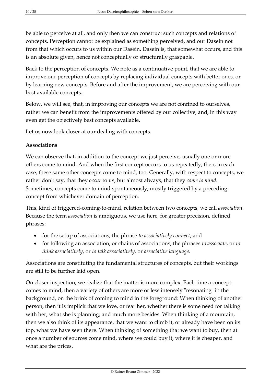be able to perceive at all, and only then we can construct such concepts and relations of concepts. Perception cannot be explained as something perceived, and our Dasein not from that which occurs to us within our Dasein. Dasein is, that somewhat occurs, and this is an absolute given, hence not conceptually or structurally graspable.

Back to the perception of concepts. We note as a continuative point, that we are able to improve our perception of concepts by replacing individual concepts with better ones, or by learning new concepts. Before and after the improvement, we are perceiving with our best available concepts.

Below, we will see, that, in improving our concepts we are not confined to ourselves, rather we can benefit from the improvements offered by our collective, and, in this way even get the objectively best concepts available.

Let us now look closer at our dealing with concepts.

#### <span id="page-9-0"></span>**Associations**

We can observe that, in addition to the concept we just perceive, usually one or more others come to mind. And when the first concept occurs to us repeatedly, then, in each case, these same other concepts come to mind, too. Generally, with respect to concepts, we rather don't say, that they *occur* to us, but almost always, that they *come to mind*. Sometimes, concepts come to mind spontaneously, mostly triggered by a preceding concept from whichever domain of perception.

This, kind of triggered-coming-to-mind, relation between two concepts, we call *association*. Because the term *association* is ambiguous, we use here, for greater precision, defined phrases:

- for the setup of associations, the phrase *to associatively connect*, and
- for following an association, or chains of associations, the phrases *to associate*, or *to think associatively*, or *to talk associatively*, or *associative language*.

Associations are constituting the fundamental structures of concepts, but their workings are still to be further laid open.

On closer inspection, we realize that the matter is more complex. Each time a concept comes to mind, then a variety of others are more or less intensely "resonating" in the background, on the brink of coming to mind in the foreground: When thinking of another person, then it is implicit that we love, or fear her, whether there is some need for talking with her, what she is planning, and much more besides. When thinking of a mountain, then we also think of its appearance, that we want to climb it, or already have been on its top, what we have seen there. When thinking of something that we want to buy, then at once a number of sources come mind, where we could buy it, where it is cheaper, and what are the prices.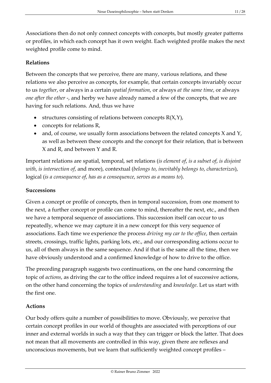Associations then do not only connect concepts with concepts, but mostly greater patterns or profiles, in which each concept has it own weight. Each weighted profile makes the next weighted profile come to mind.

## <span id="page-10-0"></span>**Relations**

Between the concepts that we perceive, there are many, various relations, and these relations we also perceive as concepts, for example, that certain concepts invariably occur to us *together*, or always in a certain *spatial formation*, or always *at the same time*, or always *one after the other* -, and herby we have already named a few of the concepts, that we are having for such relations. And, thus we have

- structures consisting of relations between concepts  $R(X,Y)$ ,
- concepts for relations R,
- and, of course, we usually form associations between the related concepts X and Y, as well as between these concepts and the concept for their relation, that is between X and R, and between Y and R.

Important relations are spatial, temporal, set relations (*is element of*, *is a subset of*, *is disjoint with*, *is intersection of*, and more), contextual (*belongs to*, *inevitably belongs to*, *characterizes*), logical (*is a consequence of*, *has as a consequence*, *serves as a means to*).

## <span id="page-10-1"></span>**Successions**

Given a concept or profile of concepts, then in temporal succession, from one moment to the next, a further concept or profile can come to mind, thereafter the next, etc., and then we have a temporal sequence of associations. This succession itself can occur to us repeatedly, whence we may capture it in a new concept for this very sequence of associations. Each time we experience the process *driving my car to the office*, then certain streets, crossings, traffic lights, parking lots, etc., and our corresponding actions occur to us, all of them always in the same sequence. And if that is the same all the time, then we have obviously understood and a confirmed knowledge of how to drive to the office.

The preceding paragraph suggests two continuations, on the one hand concerning the topic of *actions*, as driving the car to the office indeed requires a lot of successive actions, on the other hand concerning the topics of *understanding* and *knowledge*. Let us start with the first one.

## <span id="page-10-2"></span>**Actions**

Our body offers quite a number of possibilities to move. Obviously, we perceive that certain concept profiles in our world of thoughts are associated with perceptions of our inner and external worlds in such a way that they can trigger or block the latter. That does not mean that all movements are controlled in this way, given there are reflexes and unconscious movements, but we learn that sufficiently weighted concept profiles –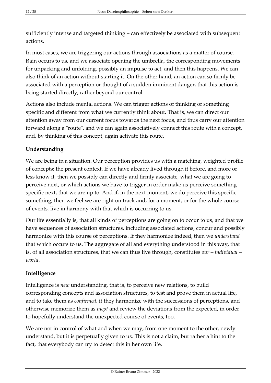sufficiently intense and targeted thinking – can effectively be associated with subsequent actions.

In most cases, we are triggering our actions through associations as a matter of course. Rain occurs to us, and we associate opening the umbrella, the corresponding movements for unpacking and unfolding, possibly an impulse to act, and then this happens. We can also think of an action without starting it. On the other hand, an action can so firmly be associated with a perception or thought of a sudden imminent danger, that this action is being started directly, rather beyond our control.

Actions also include mental actions. We can trigger actions of thinking of something specific and different from what we currently think about. That is, we can direct our attention away from our current focus towards the next focus, and thus carry our attention forward along a "route", and we can again associatively connect this route with a concept, and, by thinking of this concept, again activate this route.

## <span id="page-11-0"></span>**Understanding**

We are being in a situation. Our perception provides us with a matching, weighted profile of concepts: the present context. If we have already lived through it before, and more or less know it, then we possibly can directly and firmly associate, what we are going to perceive next, or which actions we have to trigger in order make us perceive something specific next, that we are up to. And if, in the next moment, we do perceive this specific something, then we feel we are right on track and, for a moment, or for the whole course of events, live in harmony with that which is occurring to us.

Our life essentially is, that all kinds of perceptions are going on to occur to us, and that we have sequences of association structures, including associated actions, concur and possibly harmonize with this course of perceptions. If they harmonize indeed, then we *understand* that which occurs to us. The aggregate of all and everything understood in this way, that is, of all association structures, that we can thus live through, constitutes *our – individual – world*.

## <span id="page-11-1"></span>**Intelligence**

Intelligence is *new* understanding, that is, to perceive new relations, to build corresponding concepts and association structures, to test and prove them in actual life, and to take them as *confirmed*, if they harmonize with the successions of perceptions, and otherwise memorize them as *inept* and review the deviations from the expected, in order to hopefully understand the unexpected course of events, too.

We are not in control of what and when we may, from one moment to the other, newly understand, but it is perpetually given to us. This is not a claim, but rather a hint to the fact, that everybody can try to detect this in her own life.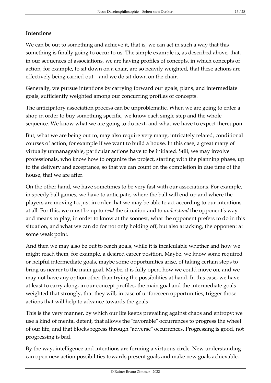## <span id="page-12-0"></span>**Intentions**

We can be out to something and achieve it, that is, we can act in such a way that this something is finally going to occur to us. The simple example is, as described above, that, in our sequences of associations, we are having profiles of concepts, in which concepts of action, for example, to sit down on a chair, are so heavily weighted, that these actions are effectively being carried out – and we do sit down on the chair.

Generally, we pursue intentions by carrying forward our goals, plans, and intermediate goals, sufficiently weighted among our concurring profiles of concepts.

The anticipatory association process can be unproblematic. When we are going to enter a shop in order to buy something specific, we know each single step and the whole sequence. We know what we are going to do next, and what we have to expect thereupon.

But, what we are being out to, may also require very many, intricately related, conditional courses of action, for example if we want to build a house. In this case, a great many of virtually unmanageable, particular actions have to be initiated. Still, we may involve professionals, who know how to organize the project, starting with the planning phase, up to the delivery and acceptance, so that we can count on the completion in due time of the house, that we are after.

On the other hand, we have sometimes to be very fast with our associations. For example, in speedy ball games, we have to anticipate, where the ball will end up and where the players are moving to, just in order that we may be able to act according to our intentions at all. For this, we must be up to *read* the situation and to *understand* the opponent's way and means to play, in order to know at the soonest, what the opponent prefers to do in this situation, and what we can do for not only holding off, but also attacking, the opponent at some weak point.

And then we may also be out to reach goals, while it is incalculable whether and how we might reach them, for example, a desired career position. Maybe, we know some required or helpful intermediate goals, maybe some opportunities arise, of taking certain steps to bring us nearer to the main goal. Maybe, it is fully open, how we could move on, and we may not have any option other than trying the possibilities at hand. In this case, we have at least to carry along, in our concept profiles, the main goal and the intermediate goals weighted that strongly, that they will, in case of unforeseen opportunities, trigger those actions that will help to advance towards the goals.

This is the very manner, by which our life keeps prevailing against chaos and entropy: we use a kind of mental detent, that allows the "favorable" occurrences to progress the wheel of our life, and that blocks regress through "adverse" occurrences. Progressing is good, not progressing is bad.

By the way, intelligence and intentions are forming a virtuous circle. New understanding can open new action possibilities towards present goals and make new goals achievable.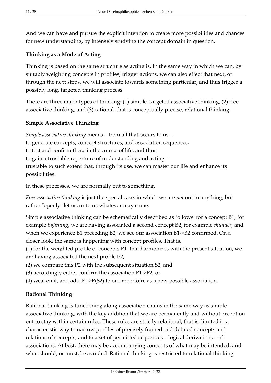And we can have and pursue the explicit intention to create more possibilities and chances for new understanding, by intensely studying the concept domain in question.

## <span id="page-13-0"></span>**Thinking as a Mode of Acting**

Thinking is based on the same structure as acting is. In the same way in which we can, by suitably weighting concepts in profiles, trigger actions, we can also effect that next, or through the next steps, we will associate towards something particular, and thus trigger a possibly long, targeted thinking process.

There are three major types of thinking: (1) simple, targeted associative thinking, (2) free associative thinking, and (3) rational, that is conceptually precise, relational thinking.

## <span id="page-13-1"></span>**Simple Associative Thinking**

*Simple associative thinking* means – from all that occurs to us – to generate concepts, concept structures, and association sequences, to test and confirm these in the course of life, and thus to gain a trustable repertoire of understanding and acting – trustable to such extent that, through its use, we can master our life and enhance its possibilities.

In these processes, we are normally out to something.

*Free associative thinking* is just the special case, in which we are *not* out to anything, but rather "openly" let occur to us whatever may come.

Simple associative thinking can be schematically described as follows: for a concept B1, for example *lightning*, we are having associated a second concept B2, for example *thunder*, and when we experience B1 preceding B2, we see our association B1->B2 confirmed. On a closer look, the same is happening with concept profiles. That is,

(1) for the weighted profile of concepts P1, that harmonizes with the present situation, we are having associated the next profile P2,

- (2) we compare this P2 with the subsequent situation S2, and
- (3) accordingly either confirm the association P1->P2, or

(4) weaken it, and add P1->P(S2) to our repertoire as a new possible association.

## <span id="page-13-2"></span>**Rational Thinking**

Rational thinking is functioning along association chains in the same way as simple associative thinking, with the key addition that we are permanently and without exception out to stay within certain rules. These rules are strictly relational, that is, limited in a characteristic way to narrow profiles of precisely framed and defined concepts and relations of concepts, and to a set of permitted sequences – logical derivations – of associations. At best, there may be accompanying concepts of what may be intended, and what should, or must, be avoided. Rational thinking is restricted to relational thinking.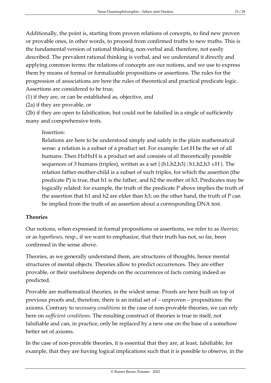Additionally, the point is, starting from proven relations of concepts, to find new proven or provable ones, in other words, to proceed from confirmed truths to new truths. This is the fundamental version of rational thinking, non-verbal and, therefore, not easily described. The prevalent rational thinking is verbal, and we understand it directly and applying common terms: the relations of concepts are our notions, and we use to express them by means of formal or formalizable propositions or assertions. The rules for the progression of associations are here the rules of theoretical and practical predicate logic. Assertions are considered to be true,

(1) if they are, or can be established as, objective, and

(2a) if they are provable, or

(2b) if they are open to falsification, but could not be falsified in a single of sufficiently many and comprehensive tests.

## Insertion:

Relations are here to be understood simply and safely in the plain mathematical sense: a relation is a subset of a product set. For example: Let H be the set of all humans. Then HxHxH is a product set and consists of *all* theoretically possible sequences of 3 humans (triples), written as a set  $\{(h1,h2,h3) | h1,h2,h3 \in H\}$ . The relation father-mother-child is a subset of such triples, for which the assertion (the predicate P) is true, that h1 is the father, and h2 the mother of h3. Predicates may be logically related: for example, the truth of the predicate P above implies the truth of the assertion that h1 and h2 are elder than h3; on the other hand, the truth of P can be implied from the truth of an assertion about a corresponding DNA test.

## <span id="page-14-0"></span>**Theories**

Our notions, when expressed in formal propositions or assertions, we refer to as *theories*; or as *hypotheses*, resp., if we want to emphasize, that their truth has not, so far, been confirmed in the sense above.

Theories, as we generally understand them, are structures of thoughts, hence mental structures of mental objects. Theories allow to predict occurrences. They are either provable, or their usefulness depends on the occurrences of facts coming indeed as predicted.

Provable are mathematical theories, in the widest sense. Proofs are here built on top of previous proofs and, therefore, there is an initial set of – unproven – propositions: the axioms. Contrary to *necessary conditions* in the case of non-provable theories, we can rely here on *sufficient conditions*. The resulting construct of theories is true in itself, not falsifiable and can, in practice, only be replaced by a new one on the base of a somehow better set of axioms.

In the case of non-provable theories, it is essential that they are, at least, falsifiable, for example, that they are having logical implications such that it is possible to observe, in the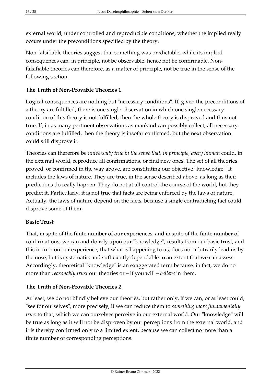external world, under controlled and reproducible conditions, whether the implied really occurs under the preconditions specified by the theory.

Non-falsifiable theories suggest that something was predictable, while its implied consequences can, in principle, not be observable, hence not be confirmable. Nonfalsifiable theories can therefore, as a matter of principle, not be true in the sense of the following section.

## <span id="page-15-0"></span>**The Truth of Non-Provable Theories 1**

Logical consequences are nothing but "necessary conditions". If, given the preconditions of a theory are fulfilled, there is one single observation in which one single necessary condition of this theory is not fulfilled, then the whole theory is disproved and thus not true. If, in as many pertinent observations as mankind can possibly collect, all necessary conditions are fulfilled, then the theory is insofar confirmed, but the next observation could still disprove it.

Theories can therefore be *universally true in the sense that, in principle, every human* could, in the external world, reproduce all confirmations, or find new ones. The set of all theories proved, or confirmed in the way above, are constituting our objective "knowledge". It includes the laws of nature. They are true, in the sense described above, as long as their predictions do really happen. They do not at all control the course of the world, but they predict it. Particularly, it is not true that facts are being enforced by the laws of nature. Actually, the laws of nature depend on the facts, because a single contradicting fact could disprove some of them.

#### <span id="page-15-1"></span>**Basic Trust**

That, in spite of the finite number of our experiences, and in spite of the finite number of confirmations, we can and do rely upon our "knowledge", results from our basic trust, and this in turn on our experience, that what is happening to us, does not arbitrarily lead us by the nose, but is systematic, and sufficiently dependable to an extent that we can assess. Accordingly, theoretical "knowledge" is an exaggerated term because, in fact, we do no more than *reasonably trust* our theories or – if you will – *believe* in them.

## <span id="page-15-2"></span>**The Truth of Non-Provable Theories 2**

At least, we do not blindly believe our theories, but rather only, if we can, or at least could, "see for ourselves", more precisely, if we can reduce them to *something more fundamentally true*: to that, which we can ourselves perceive in our external world. Our "knowledge" will be true as long as it will not be disproven by our perceptions from the external world, and it is thereby confirmed only to a limited extent, because we can collect no more than a finite number of corresponding perceptions.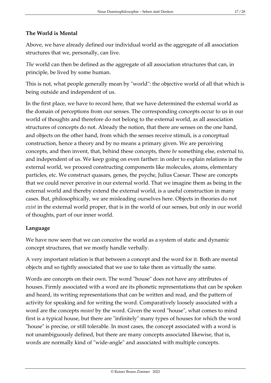## <span id="page-16-0"></span>**The World is Mental**

Above, we have already defined our individual world as the aggregate of all association structures that we, personally, can live.

*The* world can then be defined as the aggregate of all association structures that can, in principle, be lived by some human.

This is not, what people generally mean by "world": the objective world of all that which is being outside and independent of us.

In the first place, we have to record here, that we have determined the external world as the domain of perceptions from our senses. The corresponding concepts occur to us in our world of thoughts and therefore do not belong to the external world, as all association structures of concepts do not. Already the notion, that there are senses on the one hand, and objects on the other hand, from which the senses receive stimuli, is a conceptual construction, hence a theory and by no means a primary given. We are perceiving concepts, and then invent, that, behind these concepts, there *be* something else, external to, and independent of us. We keep going on even farther: in order to explain relations in the external world, we proceed constructing components like molecules, atoms, elementary particles, etc. We construct quasars, genes, the psyche, Julius Caesar. These are concepts that we could never perceive in our external world. That we imagine them as being in the external world and thereby extend the external world, is a useful construction in many cases. But, philosophically, we are misleading ourselves here. Objects in theories do not *exist* in the external world proper, that is in the world of our senses, but only in our world of thoughts, part of our inner world.

#### <span id="page-16-1"></span>**Language**

We have now seen that we can conceive the world as a system of static and dynamic concept structures, that we mostly handle verbally.

A very important relation is that between a concept and the word for it. Both are mental objects and so tightly associated that we use to take them as virtually the same.

Words are concepts on their own. The word "house" does not have any attributes of houses. Firmly associated with a word are its phonetic representations that can be spoken and heard, its writing representations that can be written and read, and the pattern of activity for speaking and for writing the word. Comparatively loosely associated with a word are the concepts *meant* by the word. Given the word "house", what comes to mind first is a typical house, but there are "infinitely" many types of houses for which the word "house" is precise, or still tolerable. In most cases, the concept associated with a word is not unambiguously defined, but there are many concepts associated likewise, that is, words are normally kind of "wide-angle" and associated with multiple concepts.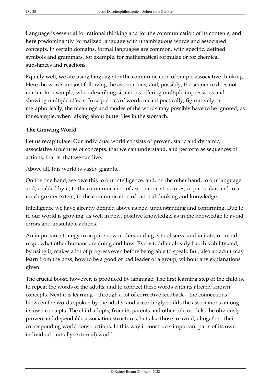Language is essential for rational thinking and for the communication of its contents, and here predominantly formalized language with unambiguous words and associated concepts. In certain domains, formal languages are common, with specific, defined symbols and grammars, for example, for mathematical formulae or for chemical substances and reactions.

Equally well, we are using language for the communication of simple associative thinking. Here the words are just following the associations, and, possibly, the sequence does not matter, for example, when describing situations offering multiple impressions and showing multiple effects. In sequences of words meant poetically, figuratively or metaphorically, the meanings and modes of the words may possibly have to be ignored, as for example, when talking about butterflies in the stomach.

## <span id="page-17-0"></span>**The Growing World**

Let us recapitulate: Our individual world consists of proven, static and dynamic, associative structures of concepts, that we can understand, and perform as sequences of actions, that is: that we can live.

Above all, this world is vastly gigantic.

On the one hand, we owe this to our intelligence, and, on the other hand, to our language and, enabled by it, to the communication of association structures, in particular, and to a much greater extent, to the communication of rational thinking and knowledge.

Intelligence we have already defined above as new understanding and confirming. Due to it, our world is growing, as well in new, positive knowledge, as in the knowledge to avoid errors and unsuitable actions.

An important strategy to acquire new understanding is to observe and imitate, or avoid resp., what other humans are doing and how. Every toddler already has this ability and, by using it, makes a lot of progress even before being able to speak. But, also an adult may learn from the boss, how to be a good or bad leader of a group, without any explanations given.

The crucial boost, however, is produced by language. The first learning step of the child is, to repeat the words of the adults, and to connect these words with its already known concepts. Next it is learning – through a lot of corrective feedback – the connections between the words spoken by the adults, and accordingly builds the associations among its own concepts. The child adopts, from its parents and other role models, the obviously proven and dependable association structures, but also those to avoid, altogether: their corresponding world constructions. In this way it constructs important parts of its own individual (initially: external) world.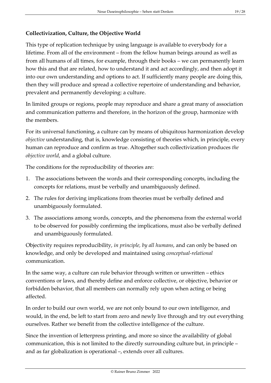## <span id="page-18-0"></span>**Collectivization, Culture, the Objective World**

This type of replication technique by using language is available to everybody for a lifetime. From all of the environment – from the fellow human beings around as well as from all humans of all times, for example, through their books – we can permanently learn how this and that are related, how to understand it and act accordingly, and then adopt it into our own understanding and options to act. If sufficiently many people are doing this, then they will produce and spread a collective repertoire of understanding and behavior, prevalent and permanently developing: a culture.

In limited groups or regions, people may reproduce and share a great many of association and communication patterns and therefore, in the horizon of the group, harmonize with the members.

For its universal functioning, a culture can by means of ubiquitous harmonization develop *objective* understanding, that is, knowledge consisting of theories which, in principle, every human can reproduce and confirm as true. Altogether such collectivization produces *the objective world*, and a global culture.

The conditions for the reproducibility of theories are:

- 1. The associations between the words and their corresponding concepts, including the concepts for relations, must be verbally and unambiguously defined.
- 2. The rules for deriving implications from theories must be verbally defined and unambiguously formulated.
- 3. The associations among words, concepts, and the phenomena from the external world to be observed for possibly confirming the implications, must also be verbally defined and unambiguously formulated.

Objectivity requires reproducibility, *in principle, by all humans*, and can only be based on knowledge, and only be developed and maintained using *conceptual-relational* communication.

In the same way, a culture can rule behavior through written or unwritten – ethics conventions or laws, and thereby define and enforce collective, or objective, behavior or forbidden behavior, that all members can normally rely upon when acting or being affected.

In order to build our own world, we are not only bound to our own intelligence, and would, in the end, be left to start from zero and newly live through and try out everything ourselves. Rather we benefit from the collective intelligence of the culture.

Since the invention of letterpress printing, and more so since the availability of global communication, this is not limited to the directly surrounding culture but, in principle – and as far globalization is operational –, extends over all cultures.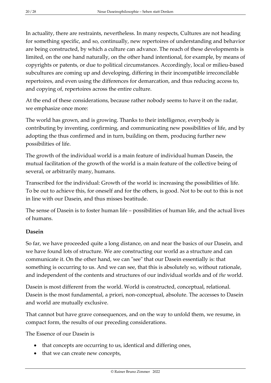In actuality, there are restraints, nevertheless. In many respects, Cultures are not heading for something specific, and so, continually, new repertoires of understanding and behavior are being constructed, by which a culture can advance. The reach of these developments is limited, on the one hand naturally, on the other hand intentional, for example, by means of copyrights or patents, or due to political circumstances. Accordingly, local or milieu-based subcultures are coming up and developing, differing in their incompatible irreconcilable repertoires, and even using the differences for demarcation, and thus reducing access to, and copying of, repertoires across the entire culture.

At the end of these considerations, because rather nobody seems to have it on the radar, we emphasize once more:

The world has grown, and is growing. Thanks to their intelligence, everybody is contributing by inventing, confirming, and communicating new possibilities of life, and by adopting the thus confirmed and in turn, building on them, producing further new possibilities of life.

The growth of the individual world is a main feature of individual human Dasein, the mutual facilitation of the growth of the world is a main feature of the collective being of several, or arbitrarily many, humans.

Transcribed for the individual: Growth of the world is: increasing the possibilities of life. To be out to achieve this, for oneself and for the others, is good. Not to be out to this is not in line with our Dasein, and thus misses beatitude.

The sense of Dasein is to foster human life – possibilities of human life, and the actual lives of humans.

## <span id="page-19-0"></span>**Dasein**

So far, we have proceeded quite a long distance, on and near the basics of our Dasein, and we have found lots of structure. We are constructing our world as a structure and can communicate it. On the other hand, we can "see" that our Dasein essentially is: that something is occurring to us. And we can see, that this is absolutely so, without rationale, and independent of the contents and structures of our individual worlds and of *the* world.

Dasein is most different from the world. World is constructed, conceptual, relational. Dasein is the most fundamental, a priori, non-conceptual, absolute. The accesses to Dasein and world are mutually exclusive.

That cannot but have grave consequences, and on the way to unfold them, we resume, in compact form, the results of our preceding considerations.

The Essence of our Dasein is

- that concepts are occurring to us, identical and differing ones,
- that we can create new concepts,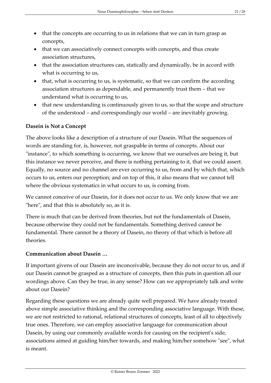- that the concepts are occurring to us in relations that we can in turn grasp as concepts,
- that we can associatively connect concepts with concepts, and thus create association structures,
- that the association structures can, statically and dynamically, be in accord with what is occurring to us,
- that, what is occurring to us, is systematic, so that we can confirm the according association structures as dependable, and permanently trust them – that we understand what is occurring to us,
- that new understanding is continuously given to us, so that the scope and structure of the understood – and correspondingly our world – are inevitably growing.

#### <span id="page-20-0"></span>**Dasein is Not a Concept**

The above looks like a description of a structure of our Dasein. What the sequences of words are standing for, is, however, not graspable in terms of concepts. About our "instance", to which something is occurring, we know that we ourselves are being it, but this instance we never perceive, and there is nothing pertaining to it, that we could assert. Equally, no source and no channel are ever occurring to us, from and by which that, which occurs to us, enters our perception; and on top of this, it also means that we cannot tell where the obvious systematics in what occurs to us, is coming from.

We cannot conceive of our Dasein, for it does not occur to us. We only know that we are "here", and that this is absolutely so, as it is.

There is much that can be derived from theories, but not the fundamentals of Dasein, because otherwise they could not be fundamentals. Something derived cannot be fundamental. There cannot be a theory of Dasein, no theory of that which is before all theories.

#### <span id="page-20-1"></span>**Communication about Dasein …**

If important givens of our Dasein are inconceivable, because they do not occur to us, and if our Dasein cannot be grasped as a structure of concepts, then this puts in question all our wordings above. Can they be true, in any sense? How can we appropriately talk and write about our Dasein?

Regarding these questions we are already quite well prepared. We have already treated above simple associative thinking and the corresponding associative language. With these, we are not restricted to rational, relational structures of concepts, least of all to objectively true ones. Therefore, we can employ associative language for communication about Dasein, by using our commonly available words for causing on the recipient's side, associations aimed at guiding him/her towards, and making him/her somehow "see", what is meant.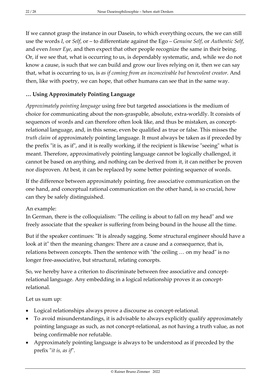If we cannot grasp the instance in our Dasein, to which everything occurs, the we can still use the words *I*, or *Self*, or – to differentiate against the Ego – *Genuine Self*, or *Authentic Self*, and even *Inner Eye*, and then expect that other people recognize the same in their being. Or, if we see that, what is occurring to us, is dependably systematic, and, while we do not know a cause, is such that we can build and grow our lives relying on it, then we can say that, what is occurring to us, is *as if coming from an inconceivable but benevolent creator*. And then, like with poetry, we can hope, that other humans can see that in the same way.

## <span id="page-21-0"></span>**… Using Approximately Pointing Language**

*Approximately pointing language* using free but targeted associations is the medium of choice for communicating about the non-graspable, absolute, extra-worldly. It consists of sequences of words and can therefore often look like, and thus be mistaken, as conceptrelational language, and, in this sense, even be qualified as true or false. This misses the *truth claim* of approximately pointing language. It must always be taken as if preceded by the prefix "it is, as if", and it is really working, if the recipient is likewise "seeing" what is meant. Therefore, approximatively pointing language cannot be logically challenged, it cannot be based on anything, and nothing can be derived from it, it can neither be proven nor disproven. At best, it can be replaced by some better pointing sequence of words.

If the difference between approximately pointing, free associative communication on the one hand, and conceptual rational communication on the other hand, is so crucial, how can they be safely distinguished.

An example:

In German, there is the colloquialism: "The ceiling is about to fall on my head" and we freely associate that the speaker is suffering from being bound in the house all the time.

But if the speaker continues: "It is already sagging. Some structural engineer should have a look at it" then the meaning changes: There are a cause and a consequence, that is, relations between concepts. Then the sentence with "the ceiling … on my head" is no longer free-associative, but structural, relating concepts.

So, we hereby have a criterion to discriminate between free associative and conceptrelational language. Any embedding in a logical relationship proves it as conceptrelational.

Let us sum up:

- Logical relationships always prove a discourse as concept-relational.
- To avoid misunderstandings, it is advisable to always explicitly qualify approximately pointing language as such, as not concept-relational, as not having a truth value, as not being confirmable nor refutable.
- Approximately pointing language is always to be understood as if preceded by the prefix "*it is, as if*".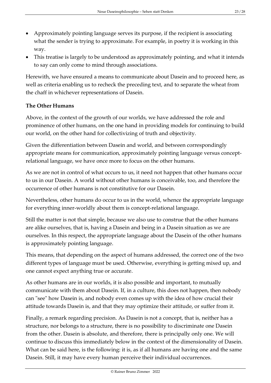- Approximately pointing language serves its purpose, if the recipient is associating what the sender is trying to approximate. For example, in poetry it is working in this way.
- This treatise is largely to be understood as approximately pointing, and what it intends to say can only come to mind through associations.

Herewith, we have ensured a means to communicate about Dasein and to proceed here, as well as criteria enabling us to recheck the preceding text, and to separate the wheat from the chaff in whichever representations of Dasein.

#### <span id="page-22-0"></span>**The Other Humans**

Above, in the context of the growth of our worlds, we have addressed the role and prominence of other humans, on the one hand in providing models for continuing to build our world, on the other hand for collectivizing of truth and objectivity.

Given the differentiation between Dasein and world, and between correspondingly appropriate means for communication, approximately pointing language versus conceptrelational language, we have once more to focus on the other humans.

As we are not in control of what occurs to us, it need not happen that other humans occur to us in our Dasein. A world without other humans is conceivable, too, and therefore the occurrence of other humans is not constitutive for our Dasein.

Nevertheless, other humans do occur to us in the world, whence the appropriate language for everything inner-worldly about them is concept-relational language.

Still the matter is not that simple, because we also use to construe that the other humans are alike ourselves, that is, having a Dasein and being in a Dasein situation as we are ourselves. In this respect, the appropriate language about the Dasein of the other humans is approximately pointing language.

This means, that depending on the aspect of humans addressed, the correct one of the two different types of language must be used. Otherwise, everything is getting mixed up, and one cannot expect anything true or accurate.

As other humans are in our worlds, it is also possible and important, to mutually communicate with them about Dasein. If, in a culture, this does not happen, then nobody can "see" how Dasein is, and nobody even comes up with the idea of how crucial their attitude towards Dasein is, and that they may optimize their attitude, or suffer from it.

Finally, a remark regarding precision. As Dasein is not a concept, that is, neither has a structure, nor belongs to a structure, there is no possibility to discriminate one Dasein from the other. Dasein is absolute, and therefore, there is principally only one. We will continue to discuss this immediately below in the context of the dimensionality of Dasein. What can be said here, is the following: it is, as if all humans are having one and the same Dasein. Still, it may have every human perceive their individual occurrences.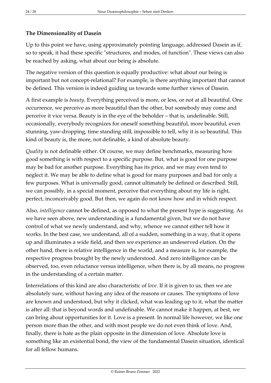## <span id="page-23-0"></span>**The Dimensionality of Dasein**

Up to this point we have, using approximately pointing language, addressed Dasein as if, so to speak, it had these specific "structures, and modes, of function". These views can also be reached by asking, what about our being is absolute.

The negative version of this question is equally productive: what about our being is important but not concept-relational? For example, is there anything important that cannot be defined. This version is indeed guiding us towards some further views of Dasein.

A first example is *beauty*. Everything perceived is more, or less, or not at all beautiful. One occurrence, we perceive as more beautiful than the other, but somebody may come and perceive it vice versa. Beauty is in the eye of the beholder – that is, undefinable. Still, occasionally, everybody recognizes for oneself something beautiful, more beautiful, even stunning, yaw-dropping, time standing still, impossible to tell, why it is so beautiful. This kind of beauty is, the more, not definable, a kind of absolute beauty.

*Quality* is not definable either. Of course, we may define benchmarks, measuring how good something is with respect to a specific purpose. But, what is good for one purpose may be bad for another purpose. Everything has its price, and we may even tend to neglect it. We may be able to define what is good for many purposes and bad for only a few purposes. What is universally good, cannot ultimately be defined or described. Still, we can possibly, in a special moment, perceive that everything about my life is right, perfect, inconceivably good. But then, we again do not know how and in which respect.

Also, *intelligence* cannot be defined, as opposed to what the present hype is suggesting. As we have seen above, new understanding is a fundamental given, but we do not have control of what we newly understand, and why, whence we cannot either tell how it works. In the best case, we understand, all of a sudden, something in a way, that it opens up and illuminates a wide field, and then we experience an undeserved elation. On the other hand, there is relative intelligence in the world, and a measure is, for example, the respective progress brought by the newly understood. And zero intelligence can be observed, too, even reluctance versus intelligence, when there is, by all means, no progress in the understanding of a certain matter.

Interrelations of this kind are also characteristic of *love*. If it is given to us, then we are absolutely sure, without having any idea of the reasons or causes. The symptoms of love are known and understood, but why it clicked, what was leading up to it, what the matter is after all: that is beyond words and undefinable. We cannot make it happen, at best, we can bring about opportunities for it. Love is a present. In normal life however, we like one person more than the other, and with most people we do not even think of love. And, finally, there is hate as the plain opposite in the dimension of love. Absolute love is something like an existential bond, the view of the fundamental Dasein situation, identical for all fellow humans.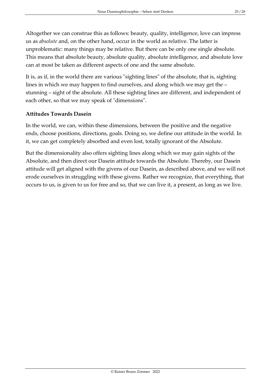Altogether we can construe this as follows: beauty, quality, intelligence, love can impress us as *absolute* and, on the other hand, occur in the world as relative. The latter is unproblematic: many things may be relative. But there can be only one single absolute. This means that absolute beauty, absolute quality, absolute intelligence, and absolute love can at most be taken as different aspects of one and the same absolute.

It is, as if, in the world there are various "sighting lines" of the absolute, that is, sighting lines in which we may happen to find ourselves, and along which we may get the – stunning – sight of the absolute. All these sighting lines are different, and independent of each other, so that we may speak of "dimensions".

#### <span id="page-24-0"></span>**Attitudes Towards Dasein**

In the world, we can, within these dimensions, between the positive and the negative ends, choose positions, directions, goals. Doing so, we define our attitude in the world. In it, we can get completely absorbed and even lost, totally ignorant of the Absolute.

But the dimensionality also offers sighting lines along which we may gain sights of the Absolute, and then direct our Dasein attitude towards the Absolute. Thereby, our Dasein attitude will get aligned with the givens of our Dasein, as described above, and we will not erode ourselves in struggling with these givens. Rather we recognize, that everything, that occurs to us, is given to us for free and so, that we can live it, a present, as long as we live.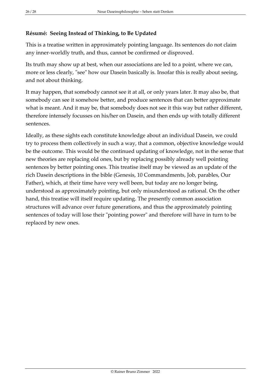## <span id="page-25-0"></span>**Résumé: Seeing Instead of Thinking, to Be Updated**

This is a treatise written in approximately pointing language. Its sentences do not claim any inner-worldly truth, and thus, cannot be confirmed or disproved.

Its truth may show up at best, when our associations are led to a point, where we can, more or less clearly, "see" how our Dasein basically is. Insofar this is really about seeing, and not about thinking.

It may happen, that somebody cannot see it at all, or only years later. It may also be, that somebody can see it somehow better, and produce sentences that can better approximate what is meant. And it may be, that somebody does not see it this way but rather different, therefore intensely focusses on his/her on Dasein, and then ends up with totally different sentences.

Ideally, as these sights each constitute knowledge about an individual Dasein, we could try to process them collectively in such a way, that a common, objective knowledge would be the outcome. This would be the continued updating of knowledge, not in the sense that new theories are replacing old ones, but by replacing possibly already well pointing sentences by better pointing ones. This treatise itself may be viewed as an update of the rich Dasein descriptions in the bible (Genesis, 10 Commandments, Job, parables, Our Father), which, at their time have very well been, but today are no longer being, understood as approximately pointing, but only misunderstood as rational. On the other hand, this treatise will itself require updating. The presently common association structures will advance over future generations, and thus the approximately pointing sentences of today will lose their "pointing power" and therefore will have in turn to be replaced by new ones.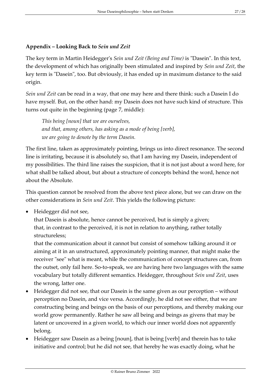## <span id="page-26-0"></span>**Appendix – Looking Back to** *Sein und Zeit*

The key term in Martin Heidegger's *Sein und Zeit (Being and Time)* is "Dasein". In this text, the development of which has originally been stimulated and inspired by *Sein und Zeit*, the key term is "Dasein", too. But obviously, it has ended up in maximum distance to the said origin.

*Sein und Zeit* can be read in a way, that one may here and there think: such a Dasein I do have myself. But, on the other hand: my Dasein does not have such kind of structure. This turns out quite in the beginning (page 7, middle):

*This being [noun] that we are ourselves, and that, among others, has asking as a mode of being [verb], we are going to denote by the term Dasein.*

The first line, taken as approximately pointing, brings us into direct resonance. The second line is irritating, because it is absolutely so, that I am having my Dasein, independent of my possibilities. The third line raises the suspicion, that it is not just about a word here, for what shall be talked about, but about a structure of concepts behind the word, hence not about the Absolute.

This question cannot be resolved from the above text piece alone, but we can draw on the other considerations in *Sein und Zeit*. This yields the following picture:

• Heidegger did not see,

that Dasein is absolute, hence cannot be perceived, but is simply a given; that, in contrast to the perceived, it is not in relation to anything, rather totally structureless;

that the communication about it cannot but consist of somehow talking around it or aiming at it in an unstructured, approximately pointing manner, that might make the receiver "see" what is meant, while the communication of concept structures can, from the outset, only fail here. So-to-speak, we are having here two languages with the same vocabulary but totally different semantics. Heidegger, throughout *Sein und Zeit*, uses the wrong, latter one.

- Heidegger did not see, that our Dasein is the same given as our perception without perception no Dasein, and vice versa. Accordingly, he did not see either, that we are constructing being and beings on the basis of our perceptions, and thereby making our world grow permanently. Rather he saw all being and beings as givens that may be latent or uncovered in a given world, to which our inner world does not apparently belong.
- Heidegger saw Dasein as a being [noun], that is being [verb] and therein has to take initiative and control; but he did not see, that hereby he was exactly doing, what he